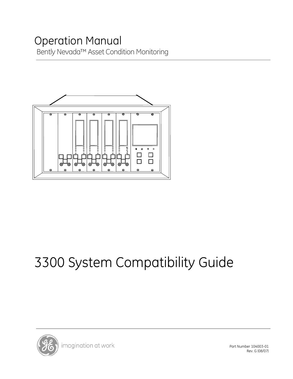# Bently Nevada™ Asset Condition Monitoring Operation Manual



# 3300 System Compatibility Guide



Part Number 104003-01 Rev. G (08/07)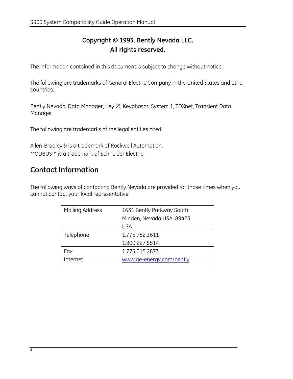## **Copyright © 1993. Bently Nevada LLC. All rights reserved.**

The information contained in this document is subject to change without notice.

The following are trademarks of General Electric Company in the United States and other countries:

Bently Nevada, Data Manager, Key ∅, Keyphasor, System 1, TDXnet, Transient Data Manager

The following are trademarks of the legal entities cited:

Allen-Bradley® is a trademark of Rockwell Automation. MODBUS™ is a trademark of Schneider Electric.

## **Contact Information**

The following ways of contacting Bently Nevada are provided for those times when you cannot contact your local representative:

| Mailing Address | 1631 Bently Parkway South |  |
|-----------------|---------------------------|--|
|                 | Minden, Nevada USA 89423  |  |
|                 | <b>USA</b>                |  |
| Telephone       | 1.775.782.3611            |  |
|                 | 1.800.227.5514            |  |
| Fax             | 1.775.215.2873            |  |
| Internet        | www.ge-energy.com/bently  |  |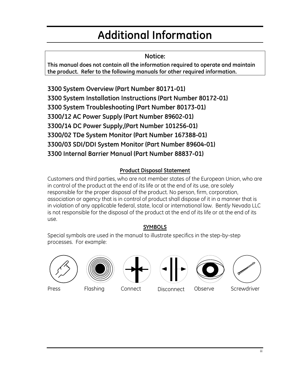# **Additional Information**

**Notice:**

**This manual does not contain all the information required to operate and maintain the product. Refer to the following manuals for other required information.** 

**3300 System Overview (Part Number 80171-01) 3300 System Installation Instructions (Part Number 80172-01) 3300 System Troubleshooting (Part Number 80173-01) 3300/12 AC Power Supply (Part Number 89602-01) 3300/14 DC Power Supply,(Part Number 101256-01) 3300/02 TDe System Monitor (Part Number 167388-01) 3300/03 SDI/DDI System Monitor (Part Number 89604-01) 3300 Internal Barrier Manual (Part Number 88837-01)** 

## **Product Disposal Statement**

Customers and third parties, who are not member states of the European Union, who are in control of the product at the end of its life or at the end of its use, are solely responsible for the proper disposal of the product. No person, firm, corporation, association or agency that is in control of product shall dispose of it in a manner that is in violation of any applicable federal, state, local or international law. Bently Nevada LLC is not responsible for the disposal of the product at the end of its life or at the end of its use.

## **SYMBOLS**

Special symbols are used in the manual to illustrate specifics in the step-by-step processes. For example:













Press Flashing Connect Disconnect Observe Screwdriver

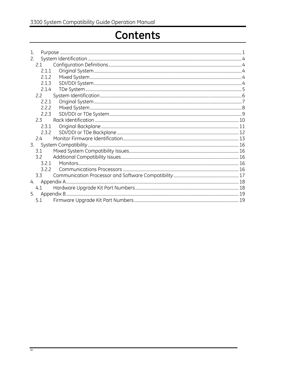# Contents

| 1. |         |  |
|----|---------|--|
|    |         |  |
|    | 2.1     |  |
|    | 2.1.1   |  |
|    | 2.1.2   |  |
|    | 2.1.3   |  |
|    | 2.1.4   |  |
|    | 2.2     |  |
|    | 2.2.1   |  |
|    | 2.2.2   |  |
|    | 2.2.3   |  |
|    | $2.3 -$ |  |
|    | 2.3.1   |  |
|    | 2.3.2   |  |
|    | 24      |  |
| 3. |         |  |
|    | 3.1     |  |
|    | 3.2     |  |
|    | 3.2.1   |  |
|    | 3.2.2   |  |
|    | 3.3     |  |
| 4. |         |  |
|    | 4.1     |  |
| 5. |         |  |
|    | 5.1     |  |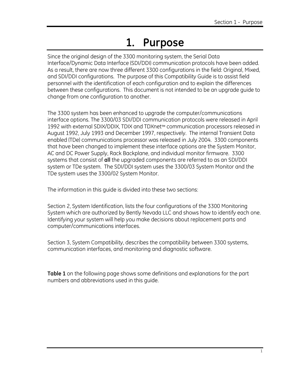# **1. Purpose**

Since the original design of the 3300 monitoring system, the Serial Data Interface/Dynamic Data Interface (SDI/DDI) communication protocols have been added. As a result, there are now three different 3300 configurations in the field: Original, Mixed, and SDI/DDI configurations. The purpose of this Compatibility Guide is to assist field personnel with the identification of each configuration and to explain the differences between these configurations. This document is not intended to be an upgrade guide to change from one configuration to another.

The 3300 system has been enhanced to upgrade the computer/communications interface options. The 3300/03 SDI/DDI communication protocols were released in April 1992 with external SDIX/DDIX, TDIX and TDXnet™ communication processors released in August 1992, July 1993 and December 1997, respectively. The internal Transient Data enabled (TDe) communications processor was released in July 2004. 3300 components that have been changed to implement these interface options are the System Monitor, AC and DC Power Supply, Rack Backplane, and individual monitor firmware. 3300 systems that consist of **all** the upgraded components are referred to as an SDI/DDI system or TDe system. The SDI/DDI system uses the 3300/03 System Monitor and the TDe system uses the 3300/02 System Monitor.

The information in this guide is divided into these two sections:

Section 2, System Identification, lists the four configurations of the 3300 Monitoring System which are authorized by Bently Nevada LLC and shows how to identify each one. Identifying your system will help you make decisions about replacement parts and computer/communications interfaces.

Section 3, System Compatibility, describes the compatibility between 3300 systems, communication interfaces, and monitoring and diagnostic software.

**Table 1** on the following page shows some definitions and explanations for the part numbers and abbreviations used in this guide.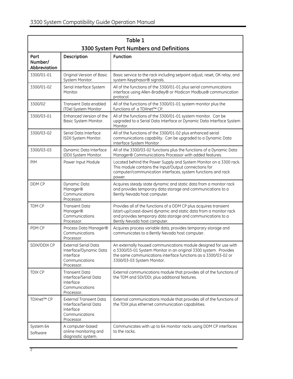| Table 1<br>3300 System Part Numbers and Definitions |                                                                                                      |                                                                                                                                                                                                                                       |  |  |
|-----------------------------------------------------|------------------------------------------------------------------------------------------------------|---------------------------------------------------------------------------------------------------------------------------------------------------------------------------------------------------------------------------------------|--|--|
| Part<br>Number/<br>Abbreviation                     | Description                                                                                          | <b>Function</b>                                                                                                                                                                                                                       |  |  |
| 3300/01-01                                          | Original Version of Basic<br>System Monitor.                                                         | Basic service to the rack including setpoint adjust, reset, OK relay, and<br>system Keyphasor® signals.                                                                                                                               |  |  |
| 3300/01-02                                          | Serial Interface System<br>Monitor.                                                                  | All of the functions of the 3300/01-01 plus serial communications<br>interface using Allen-Bradley® or Modicon Modbus® communication<br>protocol.                                                                                     |  |  |
| 3300/02                                             | Transient Data enabled<br>(TDe) System Monitor                                                       | All of the functions of the 3300/01-01 system monitor plus the<br>functions of a TDXnet™ CP.                                                                                                                                          |  |  |
| 3300/03-01                                          | Enhanced Version of the<br>Basic System Monitor.                                                     | All of the functions of the 3300/01-01 system monitor. Can be<br>upgraded to a Serial Data Interface or Dynamic Data Interface System<br>Monitor.                                                                                     |  |  |
| 3300/03-02                                          | Serial Data Interface<br>(SDI) System Monitor.                                                       | All of the functions of the 3300/01-02 plus enhanced serial<br>communications capability. Can be upgraded to a Dynamic Data<br>Interface System Monitor                                                                               |  |  |
| 3300/03-03                                          | Dynamic Data Interface<br>(DDI) System Monitor.                                                      | All of the 3300/03-02 functions plus the functions of a Dynamic Data<br>Manager® Communications Processor with added features.                                                                                                        |  |  |
| <b>PIM</b>                                          | Power Input Module                                                                                   | Located behind the Power Supply and System Monitor on a 3300 rack.<br>This module contains the Input/Output connections for<br>computer/communication interfaces, system functions and rack<br>power.                                 |  |  |
| DDM CP                                              | Dynamic Data<br>Manager®<br>Communications<br>Processor.                                             | Acquires steady state dynamic and static data from a monitor rack<br>and provides temporary data storage and communications to a<br>Bently Nevada host computer.                                                                      |  |  |
| TDM CP                                              | <b>Transient Data</b><br>Manager®<br>Communications<br>Processor.                                    | Provides all of the functions of a DDM CP plus acquires transient<br>(start-up/coast-down) dynamic and static data from a monitor rack<br>and provides temporary data storage and communications to a<br>Bently Nevada host computer. |  |  |
| PDM CP                                              | Process Data Manager®<br>Communications<br>Processor.                                                | Acquires process variable data, provides temporary storage and<br>communicates to a Bently Nevada host computer.                                                                                                                      |  |  |
| SDIX/DDIX CP                                        | External Serial Data<br>Interface/Dynamic Data<br>Interface<br>Communications<br>Processor.          | An externally housed communications module designed for use with<br>a 3300/03-01 System Monitor in an original 3300 system. Provides<br>the same communications interface functions as a 3300/03-02 or<br>3300/03-03 System Monitor.  |  |  |
| <b>TDIX CP</b>                                      | <b>Transient Data</b><br>Interface/Serial Data<br>Interface<br>Communications<br>Processor.          | External communications module that provides all of the functions of<br>the TDM and SDI/DDI, plus additional features.                                                                                                                |  |  |
| TDXnet™ CP                                          | <b>External Transient Data</b><br>Interface/Serial Data<br>Interface<br>Communications<br>Processor. | External communications module that provides all of the functions of<br>the TDIX plus ethernet communication capabilities.                                                                                                            |  |  |
| System 64<br>Software                               | A computer-based<br>online monitoring and<br>diagnostic system.                                      | Communicates with up to 64 monitor racks using DDM CP interfaces<br>to the racks.                                                                                                                                                     |  |  |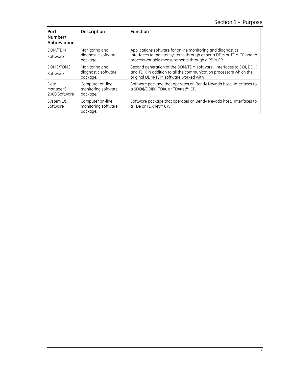## Section 1 - Purpose

| Part<br>Number/<br>Abbreviation               | <b>Description</b>                                  | <b>Function</b>                                                                                                                                                                        |
|-----------------------------------------------|-----------------------------------------------------|----------------------------------------------------------------------------------------------------------------------------------------------------------------------------------------|
| DDM/TDM<br>Software                           | Monitoring and<br>diagnostic software<br>package.   | Applications software for online monitoring and diagnostics.<br>Interfaces to monitor systems through either a DDM or TDM CP and to<br>process variable measurements through a PDM CP. |
| DDM2/TDM2<br>Software                         | Monitoring and<br>diagnostic software<br>package.   | Second generation of the DDM/TDM software. Interfaces to DDI, DDIX<br>and TDIX in addition to all the communication processors which the<br>original DDM/TDM software worked with.     |
| Data<br>Manager <sup>®</sup><br>2000 Software | Computer on-line<br>monitoring software<br>package. | Software package that operates on Bently Nevada host. Interfaces to<br>a SDI(X)/DDI(X), TDIX, or TDXnet™ CP.                                                                           |
| System 1 <sup>®</sup><br>Software             | Computer on-line<br>monitoring software<br>package. | Software package that operates on Bently Nevada host. Interfaces to<br>a TDe or TDXnet™ CP.                                                                                            |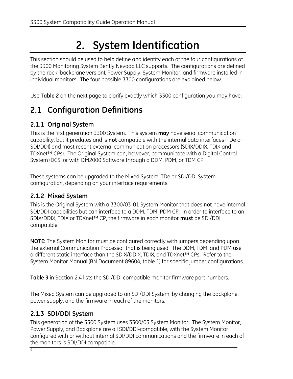# **2. System Identification**

This section should be used to help define and identify each of the four configurations of the 3300 Monitoring System Bently Nevada LLC supports. The configurations are defined by the rack (backplane version), Power Supply, System Monitor, and firmware installed in individual monitors. The four possible 3300 configurations are explained below.

Use **Table 2** on the next page to clarify exactly which 3300 configuration you may have.

# **2.1 Configuration Definitions**

## **2.1.1 Original System**

This is the first generation 3300 System. This system **may** have serial communication capability, but it predates and is **not** compatible with the internal data interfaces (TDe or SDI/DDI) and most recent external communication processors (SDIX/DDIX, TDIX and TDXnet™ CPs). The Original System can, however, communicate with a Digital Control System (DCS) or with DM2000 Software through a DDM, PDM, or TDM CP.

These systems can be upgraded to the Mixed System, TDe or SDI/DDI System configuration, depending on your interface requirements.

## **2.1.2 Mixed System**

This is the Original System with a 3300/03-01 System Monitor that does **not** have internal SDI/DDI capabilities but can interface to a DDM, TDM, PDM CP. In order to interface to an SDIX/DDIX, TDIX or TDXnet™ CP, the firmware in each monitor **must** be SDI/DDI compatible.

**NOTE:** The System Monitor must be configured correctly with jumpers depending upon the external Communication Processor that is being used. The DDM, TDM, and PDM use a different static interface than the SDIX/DDIX, TDIX, and TDXnet™ CPs. Refer to the System Monitor Manual (BN Document 89604, table 1) for specific jumper configurations.

**Table 3** in Section 2.4 lists the SDI/DDI compatible monitor firmware part numbers.

The Mixed System can be upgraded to an SDI/DDI System, by changing the backplane, power supply, and the firmware in each of the monitors.

## **2.1.3 SDI/DDI System**

This generation of the 3300 System uses 3300/03 System Monitor. The System Monitor, Power Supply, and Backplane are all SDI/DDI-compatible, with the System Monitor configured with or without internal SDI/DDI communications and the firmware in each of the monitors is SDI/DDI compatible.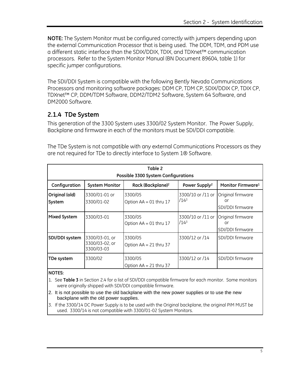**NOTE:** The System Monitor must be configured correctly with jumpers depending upon the external Communication Processor that is being used. The DDM, TDM, and PDM use a different static interface than the SDIX/DDIX, TDIX, and TDXnet™ communication processors. Refer to the System Monitor Manual (BN Document 89604, table 1) for specific jumper configurations.

The SDI/DDI System is compatible with the following Bently Nevada Communications Processors and monitoring software packages: DDM CP, TDM CP, SDIX/DDIX CP, TDIX CP, TDXnet™ CP, DDM/TDM Software, DDM2/TDM2 Software, System 64 Software, and DM2000 Software.

## **2.1.4 TDe System**

This generation of the 3300 System uses 3300/02 System Monitor. The Power Supply, Backplane and firmware in each of the monitors must be SDI/DDI compatible.

The TDe System is not compatible with any external Communications Processors as they are not required for TDe to directly interface to System 1® Software.

| Table 2<br>Possible 3300 System Configurations |                                                |                                     |                           |                                             |
|------------------------------------------------|------------------------------------------------|-------------------------------------|---------------------------|---------------------------------------------|
| Configuration                                  | <b>System Monitor</b>                          | Rack (Backplane) <sup>2</sup>       | Power Supply <sup>2</sup> | Monitor Firmware <sup>1</sup>               |
| Original (old)<br>System                       | 3300/01-01 or<br>3300/01-02                    | 3300/05<br>Option $AA = 01$ thru 17 | 3300/10 or /11 or<br>/143 | Original firmware<br>or<br>SDI/DDI firmware |
| Mixed System                                   | 3300/03-01                                     | 3300/05<br>Option AA = 01 thru 17   | 3300/10 or /11 or<br>/143 | Original firmware<br>or<br>SDI/DDI firmware |
| SDI/DDI system                                 | 3300/03-01, or<br>3300/03-02, or<br>3300/03-03 | 3300/05<br>Option AA = 21 thru 37   | 3300/12 or /14            | SDI/DDI firmware                            |
| TDe system                                     | 3300/02                                        | 3300/05<br>Option AA = 21 thru 37   | 3300/12 or /14            | SDI/DDI firmware                            |

#### **NOTES:**

- 1. See **Table 3** in Section 2.4 for a list of SDI/DDI compatible firmware for each monitor. Some monitors were originally shipped with SDI/DDI compatible firmware.
- 2. It is not possible to use the old backplane with the new power supplies or to use the new backplane with the old power supplies.
- 3. If the 3300/14 DC Power Supply is to be used with the Original backplane, the original PIM MUST be used. 3300/14 is not compatible with 3300/01-02 System Monitors.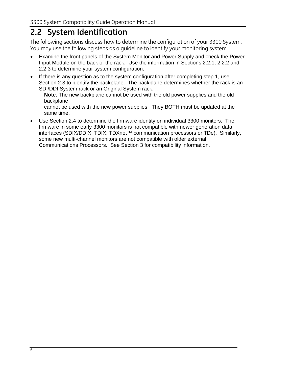## **2.2 System Identification**

The following sections discuss how to determine the configuration of your 3300 System. You may use the following steps as a guideline to identify your monitoring system.

- Examine the front panels of the System Monitor and Power Supply and check the Power Input Module on the back of the rack. Use the information in Sections 2.2.1, 2.2.2 and 2.2.3 to determine your system configuration.
- If there is any question as to the system configuration after completing step 1, use Section 2.3 to identify the backplane. The backplane determines whether the rack is an SDI/DDI System rack or an Original System rack.

**Note**: The new backplane cannot be used with the old power supplies and the old backplane

cannot be used with the new power supplies. They BOTH must be updated at the same time.

• Use Section 2.4 to determine the firmware identity on individual 3300 monitors. The firmware in some early 3300 monitors is not compatible with newer generation data interfaces (SDIX/DDIX, TDIX, TDXnet™ communication processors or TDe). Similarly, some new multi-channel monitors are not compatible with older external Communications Processors. See Section 3 for compatibility information.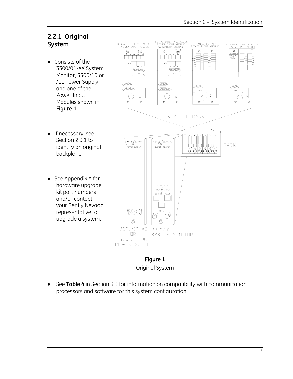### **2.2.1 Original System**

- Consists of the 3300/01-XX System Monitor, 3300/10 or /11 Power Supply and one of the Power Input Modules shown in **Figure 1**.
- If necessary, see Section 2.3.1 to identify an original backplane.
- See Appendix A for hardware upgrade kit part numbers and/or contact your Bently Nevada representative to upgrade a system.



#### **Figure 1**  Original System

• See **Table 4** in Section 3.3 for information on compatibility with communication processors and software for this system configuration.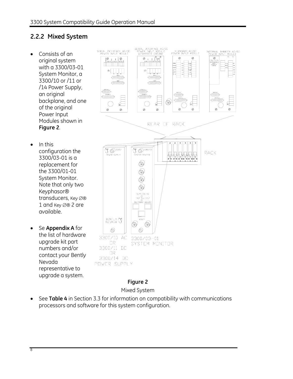## **2.2.2 Mixed System**

- Consists of an original system with a 3300/03-01 System Monitor, a 3300/10 or /11 or /14 Power Supply, an original backplane, and one of the original Power Input Modules shown in **Figure 2**.
- In this configuration the 3300/03-01 is a replacement for the 3300/01-01 System Monitor. Note that only two Keyphasor® transducers, Key ∅® 1 and Key ∅® 2 are available.
- Se **Appendix A** for the list of hardware upgrade kit part numbers and/or contact your Bently Nevada representative to upgrade a system.



#### **Figure 2**

Mixed System

• See **Table 4** in Section 3.3 for information on compatibility with communications processors and software for this system configuration.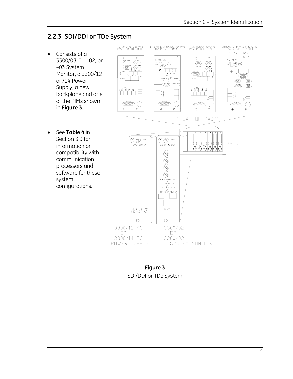#### **2.2.3 SDI/DDI or TDe System**

- Consists of a 3300/03-01, -02, or –03 System Monitor, a 3300/12 or /14 Power Supply, a new backplane and one of the PIMs shown in **Figure 3**.
- See **Table 4** in Section 3.3 for information on compatibility with communication processors and software for these system configurations.



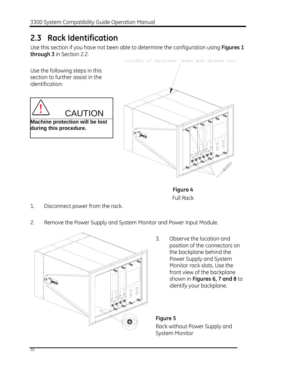# **2.3 Rack Identification**

Use this section if you have not been able to determine the configuration using **Figures 1 through 3** in Section 2.2.



Full Rack

- 1. Disconnect power from the rack.
- 2. Remove the Power Supply and System Monitor and Power Input Module.



3. Observe the location and position of the connectors on the backplane behind the Power Supply and System Monitor rack slots. Use the front view of the backplane shown in **Figures 6, 7 and 8** to identify your backplane.

#### **Figure 5**

Rack without Power Supply and System Monitor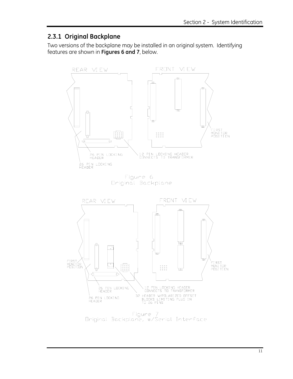### **2.3.1 Original Backplane**

Two versions of the backplane may be installed in an original system. Identifying features are shown in **Figures 6 and 7**, below.



Driginal Backplane, w/Serial Interface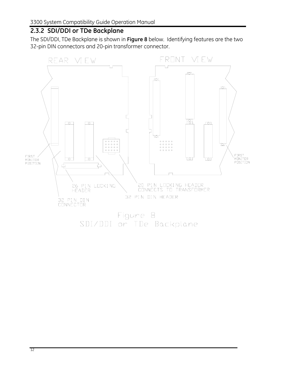## **2.3.2 SDI/DDI or TDe Backplane**

The SDI/DDI, TDe Backplane is shown in **Figure 8** below. Identifying features are the two 32-pin DIN connectors and 20-pin transformer connector.



12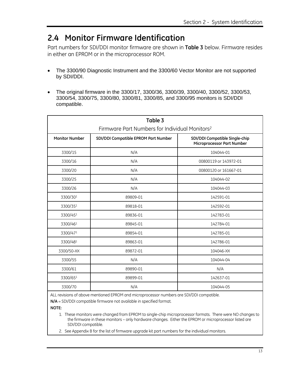## **2.4 Monitor Firmware Identification**

Part numbers for SDI/DDI monitor firmware are shown in **Table 3** below. Firmware resides in either an EPROM or in the microprocessor ROM.

- The 3300/90 Diagnostic Instrument and the 3300/60 Vector Monitor are not supported by SDI/DDI.
- The original firmware in the 3300/17, 3300/36, 3300/39, 3300/40, 3300/52, 3300/53, 3300/54, 3300/75, 3300/80, 3300/81, 3300/85, and 3300/95 monitors is SDI/DDI compatible.

| Table 3                                                    |                                      |                                                              |  |  |
|------------------------------------------------------------|--------------------------------------|--------------------------------------------------------------|--|--|
| Firmware Part Numbers for Individual Monitors <sup>2</sup> |                                      |                                                              |  |  |
| <b>Monitor Number</b>                                      | SDI/DDI Compatible EPROM Part Number | SDI/DDI Compatible Single-chip<br>Microprocessor Part Number |  |  |
| 3300/15                                                    | N/A                                  | 104044-01                                                    |  |  |
| 3300/16                                                    | N/A                                  | 00800119 or 143972-01                                        |  |  |
| 3300/20                                                    | N/A                                  | 00800120 or 161667-01                                        |  |  |
| 3300/25                                                    | N/A                                  | 104044-02                                                    |  |  |
| 3300/26                                                    | N/A                                  | 104044-03                                                    |  |  |
| 3300/301                                                   | 89809-01                             | 142591-01                                                    |  |  |
| 3300/351                                                   | 89818-01                             | 142592-01                                                    |  |  |
| 3300/451                                                   | 89836-01                             | 142783-01                                                    |  |  |
| 3300/461                                                   | 89845-01                             | 142784-01                                                    |  |  |
| 3300/471                                                   | 89854-01                             | 142785-01                                                    |  |  |
| 3300/481                                                   | 89863-01                             | 142786-01                                                    |  |  |
| 3300/50-XX                                                 | 89872-01                             | 104046-XX                                                    |  |  |
| 3300/55                                                    | N/A                                  | 104044-04                                                    |  |  |
| 3300/61                                                    | 89890-01                             | N/A                                                          |  |  |
| 3300/651                                                   | 89899-01                             | 142637-01                                                    |  |  |
| 3300/70                                                    | N/A                                  | 104044-05                                                    |  |  |

ALL revisions of above mentioned EPROM and microprocessor numbers are SDI/DDI compatible.

**N/A** = SDI/DDI compatible firmware not available in specified format.

**NOTE:** 

1. These monitors were changed from EPROM to single-chip microprocessor formats. There were NO changes to the firmware in these monitors – only hardware changes. Either the EPROM or microprocessor listed are SDI/DDI compatible.

2. See Appendix B for the list of firmware upgrade kit part numbers for the individual monitors.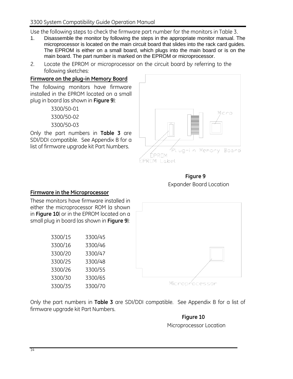Use the following steps to check the firmware part number for the monitors in Table 3.

- 1. Disassemble the monitor by following the steps in the appropriate monitor manual. The microprocessor is located on the main circuit board that slides into the rack card guides. The EPROM is either on a small board, which plugs into the main board or is on the main board. The part number is marked on the EPROM or microprocessor.
- 2. Locate the EPROM or microprocessor on the circuit board by referring to the following sketches:

#### **Firmware on the plug-in Memory Board**

The following monitors have firmware installed in the EPROM located on a small plug in board (as shown in **Figure 9**):

> 3300/50-01 3300/50-02 3300/50-03

Only the part numbers in **Table 3** are SDI/DDI compatible.See Appendix B for a list of firmware upgrade kit Part Numbers.



 **Figure 9 Expander Board Location** 

#### **Firmware in the Microprocessor**

These monitors have firmware installed in either the microprocessor ROM (a shown in **Figure 10**) or in the EPROM located on a small plug in board (as shown in **Figure 9**):

| 3300/15 | 3300/45 |
|---------|---------|
| 3300/16 | 3300/46 |
| 3300/20 | 3300/47 |
| 3300/25 | 3300/48 |
| 3300/26 | 3300/55 |
| 3300/30 | 3300/65 |
| 3300/35 | 3300/70 |



Microprocessor

Only the part numbers in **Table 3** are SDI/DDI compatible.See Appendix B for a list of firmware upgrade kit Part Numbers.

#### **Figure 10**

Microprocessor Location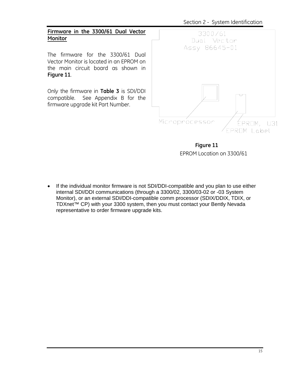Section 2 - System Identification



The firmware for the 3300/61 Dual Vector Monitor is located in an EPROM on the main circuit board as shown in **Figure 11**.

Only the firmware in **Table 3** is SDI/DDI compatible. See Appendix B for the firmware upgrade kit Part Number.



 **Figure 11**  EPROM Location on 3300/61

• If the individual monitor firmware is not SDI/DDI-compatible and you plan to use either internal SDI/DDI communications (through a 3300/02, 3300/03-02 or -03 System Monitor), or an external SDI/DDI-compatible comm processor (SDIX/DDIX, TDIX, or TDXnet™ CP) with your 3300 system, then you must contact your Bently Nevada representative to order firmware upgrade kits.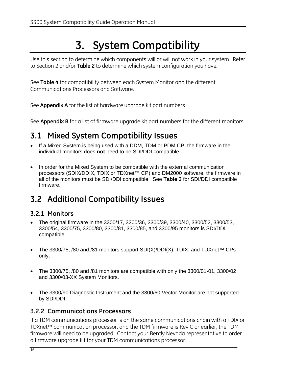# **3. System Compatibility**

Use this section to determine which components will or will not work in your system. Refer to Section 2 and/or **Table 2** to determine which system configuration you have.

See **Table 4** for compatibility between each System Monitor and the different Communications Processors and Software.

See **Appendix A** for the list of hardware upgrade kit part numbers.

See **Appendix B** for a list of firmware upgrade kit part numbers for the different monitors.

## **3.1 Mixed System Compatibility Issues**

- If a Mixed System is being used with a DDM, TDM or PDM CP, the firmware in the individual monitors does **not** need to be SDI/DDI compatible.
- In order for the Mixed System to be compatible with the external communication processors (SDIX/DDIX, TDIX or TDXnet™ CP) and DM2000 software, the firmware in all of the monitors must be SDI/DDI compatible. See **Table 3** for SDI/DDI compatible firmware.

# **3.2 Additional Compatibility Issues**

## **3.2.1 Monitors**

- The original firmware in the 3300/17, 3300/36, 3300/39, 3300/40, 3300/52, 3300/53, 3300/54, 3300/75, 3300/80, 3300/81, 3300/85, and 3300/95 monitors is SDI/DDI compatible.
- The 3300/75, /80 and /81 monitors support SDI(X)/DDI(X), TDIX, and TDXnet™ CPs only.
- The 3300/75, /80 and /81 monitors are compatible with only the 3300/01-01, 3300/02 and 3300/03-XX System Monitors.
- The 3300/90 Diagnostic Instrument and the 3300/60 Vector Monitor are not supported by SDI/DDI.

## **3.2.2 Communications Processors**

If a TDM communications processor is on the same communications chain with a TDIX or TDXnet™ communication processor, and the TDM firmware is Rev C or earlier, the TDM firmware will need to be upgraded. Contact your Bently Nevada representative to order a firmware upgrade kit for your TDM communications processor.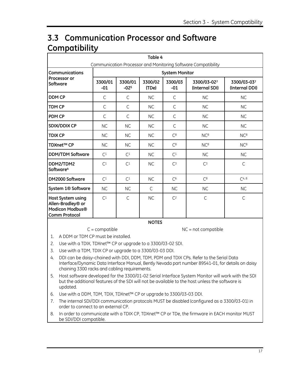# **3.3 Communication Processor and Software Compatibility**

| Table 4<br>Communication Processor and Monitoring Software Compatibility                 |                       |                   |                  |                  |                               |                               |
|------------------------------------------------------------------------------------------|-----------------------|-------------------|------------------|------------------|-------------------------------|-------------------------------|
| Communications                                                                           | <b>System Monitor</b> |                   |                  |                  |                               |                               |
| Processor or<br>Software                                                                 | 3300/01<br>$-01$      | 3300/01<br>$-025$ | 3300/02<br>(TDe) | 3300/03<br>$-01$ | 3300/03-027<br>(Internal SDI) | 3300/03-037<br>(Internal DDI) |
| <b>DDM CP</b>                                                                            | C                     | C                 | <b>NC</b>        | $\mathsf{C}$     | <b>NC</b>                     | <b>NC</b>                     |
| TDM CP                                                                                   | C                     | C                 | <b>NC</b>        | $\mathsf{C}$     | <b>NC</b>                     | <b>NC</b>                     |
| PDM CP                                                                                   | C                     | C                 | <b>NC</b>        | $\mathsf{C}$     | <b>NC</b>                     | <b>NC</b>                     |
| <b>SDIX/DDIX CP</b>                                                                      | <b>NC</b>             | <b>NC</b>         | <b>NC</b>        | C                | <b>NC</b>                     | <b>NC</b>                     |
| <b>TDIX CP</b>                                                                           | <b>NC</b>             | <b>NC</b>         | <b>NC</b>        | C <sup>8</sup>   | NC <sup>8</sup>               | NC <sup>8</sup>               |
| TDXnet™ CP                                                                               | <b>NC</b>             | <b>NC</b>         | <b>NC</b>        | C <sup>8</sup>   | NC <sup>8</sup>               | NC <sup>8</sup>               |
| <b>DDM/TDM Software</b>                                                                  | C <sup>1</sup>        | C <sup>1</sup>    | <b>NC</b>        | C <sup>1</sup>   | <b>NC</b>                     | <b>NC</b>                     |
| DDM2/TDM2<br>Software <sup>4</sup>                                                       | C <sup>1</sup>        | C <sup>1</sup>    | <b>NC</b>        | C <sup>3</sup>   | C <sub>3</sub>                | $\mathsf{C}$                  |
| DM2000 Software                                                                          | C <sup>1</sup>        | C <sup>1</sup>    | <b>NC</b>        | C <sup>6</sup>   | C <sup>8</sup>                | $C^{4, 8}$                    |
| System 1 <sup>®</sup> Software                                                           | <b>NC</b>             | <b>NC</b>         | $\mathsf{C}$     | <b>NC</b>        | <b>NC</b>                     | <b>NC</b>                     |
| <b>Host System using</b><br>Allen-Bradley® or<br>Modicon Modbus®<br><b>Comm Protocol</b> | C <sup>1</sup>        | $\mathsf{C}$      | <b>NC</b>        | C <sup>2</sup>   | $\mathsf{C}$                  | $\mathsf{C}$                  |
| <b>NOTES</b>                                                                             |                       |                   |                  |                  |                               |                               |

 $C =$  compatible  $DC =$  not compatible

1. A DDM or TDM CP must be installed.

2. Use with a TDIX, TDXnet™ CP or upgrade to a 3300/03-02 SDI.

- 3. Use with a TDM, TDIX CP or upgrade to a 3300/03-03 DDI.
- 4. DDI can be daisy-chained with DDI, DDM, TDM, PDM and TDIX CPs. Refer to the Serial Data Interface/Dynamic Data Interface Manual, Bently Nevada part number 89541-01, for details on daisy chaining 3300 racks and cabling requirements.
- 5. Host software developed for the 3300/01-02 Serial Interface System Monitor will work with the SDI but the additional features of the SDI will not be available to the host unless the software is updated.
- 6. Use with a DDM, TDM, TDIX, TDXnet™ CP or upgrade to 3300/03-03 DDI.
- 7. The internal SDI/DDI communication protocols MUST be disabled (configured as a 3300/03-01) in order to connect to an external CP.
- 8. In order to communicate with a TDIX CP, TDXnet™ CP or TDe, the firmware in EACH monitor MUST be SDI/DDI compatible.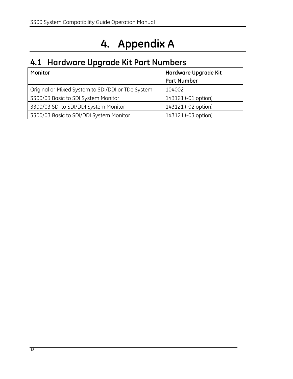# **4. Appendix A**

# **4.1 Hardware Upgrade Kit Part Numbers**

| Monitor                                           | Hardware Upgrade Kit |  |
|---------------------------------------------------|----------------------|--|
|                                                   | <b>Part Number</b>   |  |
| Original or Mixed System to SDI/DDI or TDe System | 104002               |  |
| 3300/03 Basic to SDI System Monitor               | 143121 (-01 option)  |  |
| 3300/03 SDI to SDI/DDI System Monitor             | 143121 (-02 option)  |  |
| 3300/03 Basic to SDI/DDI System Monitor           | 143121 (-03 option)  |  |